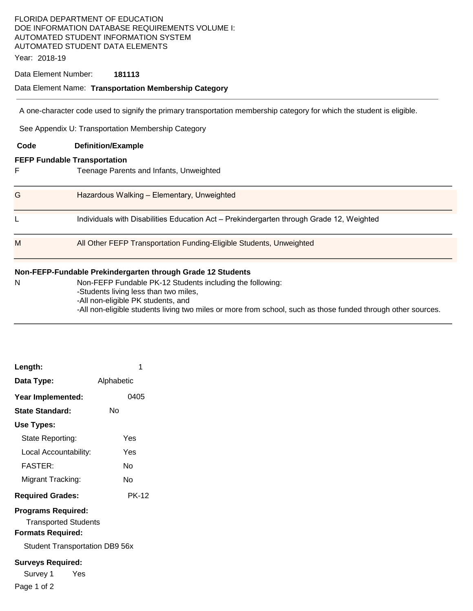## FLORIDA DEPARTMENT OF EDUCATION DOE INFORMATION DATABASE REQUIREMENTS VOLUME I: AUTOMATED STUDENT INFORMATION SYSTEM AUTOMATED STUDENT DATA ELEMENTS

Year: 2018-19

#### Data Element Number: **181113**

#### Data Element Name: **Transportation Membership Category**

A one-character code used to signify the primary transportation membership category for which the student is eligible.

See Appendix U: Transportation Membership Category

| Code                                                        | <b>Definition/Example</b>                                                                |  |  |  |
|-------------------------------------------------------------|------------------------------------------------------------------------------------------|--|--|--|
| <b>FEFP Fundable Transportation</b>                         |                                                                                          |  |  |  |
| F                                                           | Teenage Parents and Infants, Unweighted                                                  |  |  |  |
| G                                                           | Hazardous Walking - Elementary, Unweighted                                               |  |  |  |
|                                                             | Individuals with Disabilities Education Act - Prekindergarten through Grade 12, Weighted |  |  |  |
| M                                                           | All Other FEFP Transportation Funding-Eligible Students, Unweighted                      |  |  |  |
| Non-FEFP-Fundable Prekindergarten through Grade 12 Students |                                                                                          |  |  |  |

| N | Non-FEFP Fundable PK-12 Students including the following:                                                    |
|---|--------------------------------------------------------------------------------------------------------------|
|   | -Students living less than two miles,                                                                        |
|   | -All non-eligible PK students, and                                                                           |
|   | -All non-eligible students living two miles or more from school, such as those funded through other sources. |

| Length:                                                                                                                       | 1            |  |  |  |
|-------------------------------------------------------------------------------------------------------------------------------|--------------|--|--|--|
| Data Type:                                                                                                                    | Alphabetic   |  |  |  |
| Year Implemented:                                                                                                             | 0405         |  |  |  |
| <b>State Standard:</b>                                                                                                        | N٥           |  |  |  |
| Use Types:                                                                                                                    |              |  |  |  |
| State Reporting:                                                                                                              | Yes          |  |  |  |
| Local Accountability:                                                                                                         | Yes          |  |  |  |
| <b>FASTER:</b>                                                                                                                | N٥           |  |  |  |
| Migrant Tracking:                                                                                                             | N٥           |  |  |  |
| <b>Required Grades:</b>                                                                                                       | <b>PK-12</b> |  |  |  |
| <b>Programs Required:</b><br><b>Transported Students</b><br><b>Formats Required:</b><br><b>Student Transportation DB9 56x</b> |              |  |  |  |
| <b>Surveys Required:</b><br>Survey 1<br>Yes<br>Page 1 of 2                                                                    |              |  |  |  |